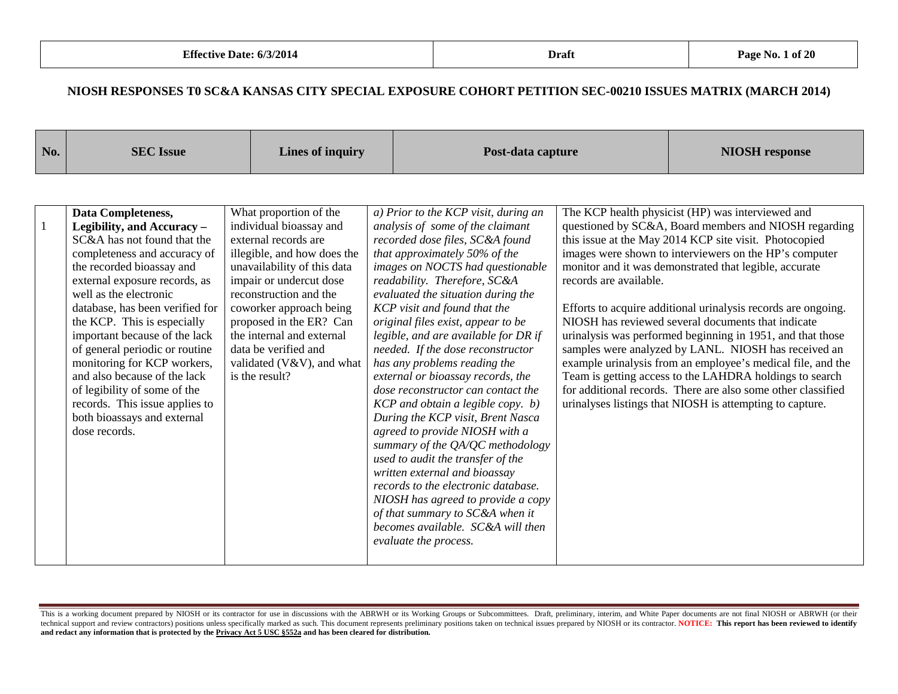| No. | <b>SEC</b> Issue                                                                                                                                                                                                                                                                                                                                                                                                                                                                                                              | Lines of inquiry                                                                                                                                                                                                                                                                                                                                       | Post-data capture                                                                                                                                                                                                                                                                                                                                                                                                                                                                                                                                                                                                                                                                                                                                                                                                       |                        | <b>NIOSH</b> response                                                                                                                                                                                                                                                                                                                                                                                                                                                                                                                                                                                                                                                                                                                                                                       |
|-----|-------------------------------------------------------------------------------------------------------------------------------------------------------------------------------------------------------------------------------------------------------------------------------------------------------------------------------------------------------------------------------------------------------------------------------------------------------------------------------------------------------------------------------|--------------------------------------------------------------------------------------------------------------------------------------------------------------------------------------------------------------------------------------------------------------------------------------------------------------------------------------------------------|-------------------------------------------------------------------------------------------------------------------------------------------------------------------------------------------------------------------------------------------------------------------------------------------------------------------------------------------------------------------------------------------------------------------------------------------------------------------------------------------------------------------------------------------------------------------------------------------------------------------------------------------------------------------------------------------------------------------------------------------------------------------------------------------------------------------------|------------------------|---------------------------------------------------------------------------------------------------------------------------------------------------------------------------------------------------------------------------------------------------------------------------------------------------------------------------------------------------------------------------------------------------------------------------------------------------------------------------------------------------------------------------------------------------------------------------------------------------------------------------------------------------------------------------------------------------------------------------------------------------------------------------------------------|
| 1   | Data Completeness,<br>Legibility, and Accuracy -<br>SC&A has not found that the<br>completeness and accuracy of<br>the recorded bioassay and<br>external exposure records, as<br>well as the electronic<br>database, has been verified for<br>the KCP. This is especially<br>important because of the lack<br>of general periodic or routine<br>monitoring for KCP workers,<br>and also because of the lack<br>of legibility of some of the<br>records. This issue applies to<br>both bioassays and external<br>dose records. | What proportion of the<br>individual bioassay and<br>external records are<br>illegible, and how does the<br>unavailability of this data<br>impair or undercut dose<br>reconstruction and the<br>coworker approach being<br>proposed in the ER? Can<br>the internal and external<br>data be verified and<br>validated (V&V), and what<br>is the result? | a) Prior to the KCP visit, during an<br>analysis of some of the claimant<br>recorded dose files, SC&A found<br>that approximately 50% of the<br>images on NOCTS had questionable<br>readability. Therefore, SC&A<br>evaluated the situation during the<br>KCP visit and found that the<br>original files exist, appear to be<br>legible, and are available for DR if<br>needed. If the dose reconstructor<br>has any problems reading the<br>external or bioassay records, the<br>dose reconstructor can contact the<br>KCP and obtain a legible copy. b)<br>During the KCP visit, Brent Nasca<br>agreed to provide NIOSH with a<br>summary of the QA/QC methodology<br>used to audit the transfer of the<br>written external and bioassay<br>records to the electronic database.<br>NIOSH has agreed to provide a copy | records are available. | The KCP health physicist (HP) was interviewed and<br>questioned by SC&A, Board members and NIOSH regarding<br>this issue at the May 2014 KCP site visit. Photocopied<br>images were shown to interviewers on the HP's computer<br>monitor and it was demonstrated that legible, accurate<br>Efforts to acquire additional urinalysis records are ongoing.<br>NIOSH has reviewed several documents that indicate<br>urinalysis was performed beginning in 1951, and that those<br>samples were analyzed by LANL. NIOSH has received an<br>example urinalysis from an employee's medical file, and the<br>Team is getting access to the LAHDRA holdings to search<br>for additional records. There are also some other classified<br>urinalyses listings that NIOSH is attempting to capture. |
|     |                                                                                                                                                                                                                                                                                                                                                                                                                                                                                                                               |                                                                                                                                                                                                                                                                                                                                                        | of that summary to SC&A when it<br>becomes available. SC&A will then<br>evaluate the process.                                                                                                                                                                                                                                                                                                                                                                                                                                                                                                                                                                                                                                                                                                                           |                        |                                                                                                                                                                                                                                                                                                                                                                                                                                                                                                                                                                                                                                                                                                                                                                                             |

This is a working document prepared by NIOSH or its contractor for use in discussions with the ABRWH or its Working Groups or Subcommittees. Draft, preliminary, interim, and White Paper documents are not final NIOSH or ABR technical support and review contractors) positions unless specifically marked as such. This document represents preliminary positions taken on technical issues prepared by NIOSH or its contractor. NOTICE: This report has **and redact any information that is protected by the Privacy Act 5 USC §552a and has been cleared for distribution.**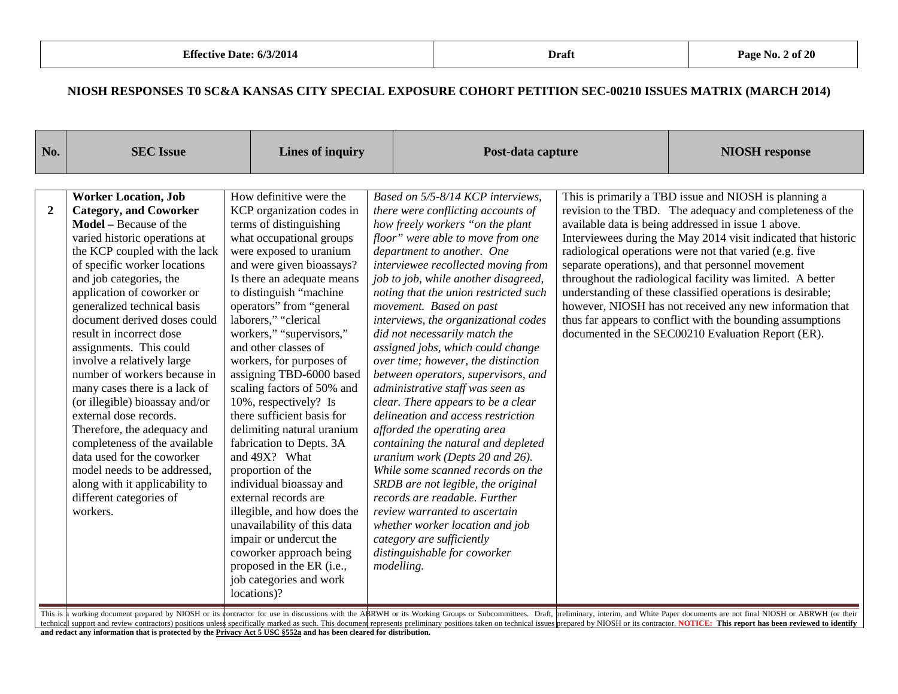| No.            | <b>SEC Issue</b>                                                                                                                                                                                                                                                                                                                                                                                                                                                                                                                                                                                                                                                                                                                          | Lines of inquiry                                                                                                                                                                                                                                                                                                                                                                                                                                                                                                                                                                                                                                                                                                                                                                                                                |                                                                                                                                                                                                                                                                                                                                                                                                                                                                                                                                                                                                                                                                                                                                                                                                                                                                                                                                                                                                                   | Post-data capture |                                                                                                                                                                                                                                                                                                                                                                                                                                                                                                                                                                                                                                                                         |
|----------------|-------------------------------------------------------------------------------------------------------------------------------------------------------------------------------------------------------------------------------------------------------------------------------------------------------------------------------------------------------------------------------------------------------------------------------------------------------------------------------------------------------------------------------------------------------------------------------------------------------------------------------------------------------------------------------------------------------------------------------------------|---------------------------------------------------------------------------------------------------------------------------------------------------------------------------------------------------------------------------------------------------------------------------------------------------------------------------------------------------------------------------------------------------------------------------------------------------------------------------------------------------------------------------------------------------------------------------------------------------------------------------------------------------------------------------------------------------------------------------------------------------------------------------------------------------------------------------------|-------------------------------------------------------------------------------------------------------------------------------------------------------------------------------------------------------------------------------------------------------------------------------------------------------------------------------------------------------------------------------------------------------------------------------------------------------------------------------------------------------------------------------------------------------------------------------------------------------------------------------------------------------------------------------------------------------------------------------------------------------------------------------------------------------------------------------------------------------------------------------------------------------------------------------------------------------------------------------------------------------------------|-------------------|-------------------------------------------------------------------------------------------------------------------------------------------------------------------------------------------------------------------------------------------------------------------------------------------------------------------------------------------------------------------------------------------------------------------------------------------------------------------------------------------------------------------------------------------------------------------------------------------------------------------------------------------------------------------------|
| $\overline{2}$ | <b>Worker Location, Job</b><br><b>Category, and Coworker</b><br>Model - Because of the<br>varied historic operations at<br>the KCP coupled with the lack<br>of specific worker locations<br>and job categories, the<br>application of coworker or<br>generalized technical basis<br>document derived doses could<br>result in incorrect dose<br>assignments. This could<br>involve a relatively large<br>number of workers because in<br>many cases there is a lack of<br>(or illegible) bioassay and/or<br>external dose records.<br>Therefore, the adequacy and<br>completeness of the available<br>data used for the coworker<br>model needs to be addressed,<br>along with it applicability to<br>different categories of<br>workers. | How definitive were the<br>KCP organization codes in<br>terms of distinguishing<br>what occupational groups<br>were exposed to uranium<br>and were given bioassays?<br>Is there an adequate means<br>to distinguish "machine"<br>operators" from "general<br>laborers," "clerical<br>workers," "supervisors,"<br>and other classes of<br>workers, for purposes of<br>assigning TBD-6000 based<br>scaling factors of 50% and<br>10%, respectively? Is<br>there sufficient basis for<br>delimiting natural uranium<br>fabrication to Depts. 3A<br>and 49X? What<br>proportion of the<br>individual bioassay and<br>external records are<br>illegible, and how does the<br>unavailability of this data<br>impair or undercut the<br>coworker approach being<br>proposed in the ER (i.e.,<br>job categories and work<br>locations)? | Based on 5/5-8/14 KCP interviews,<br>there were conflicting accounts of<br>how freely workers "on the plant<br>floor" were able to move from one<br>department to another. One<br>interviewee recollected moving from<br>job to job, while another disagreed,<br>noting that the union restricted such<br>movement. Based on past<br>interviews, the organizational codes<br>did not necessarily match the<br>assigned jobs, which could change<br>over time; however, the distinction<br>between operators, supervisors, and<br>administrative staff was seen as<br>clear. There appears to be a clear<br>delineation and access restriction<br>afforded the operating area<br>containing the natural and depleted<br>uranium work (Depts 20 and 26).<br>While some scanned records on the<br>SRDB are not legible, the original<br>records are readable. Further<br>review warranted to ascertain<br>whether worker location and job<br>category are sufficiently<br>distinguishable for coworker<br>modelling. |                   | This is primarily a TBD issue and NIOSH is planning a<br>revision to the TBD. The adequacy and completeness of the<br>available data is being addressed in issue 1 above.<br>Interviewees during the May 2014 visit indicated that historic<br>radiological operations were not that varied (e.g. five<br>separate operations), and that personnel movement<br>throughout the radiological facility was limited. A better<br>understanding of these classified operations is desirable;<br>however, NIOSH has not received any new information that<br>thus far appears to conflict with the bounding assumptions<br>documented in the SEC00210 Evaluation Report (ER). |

This is a working document prepared by NIOSH or its contractor for use in discussions with the ABRWH or its Working Groups or Subcommittees. Draft, preliminary, interim, and White Paper documents are not final NIOSH or ABR technical support and review contractors) positions unless specifically marked as such. This document represents preliminary positions taken on technical issues prepared by NIOSH or its contractor. NOTICE: This report has

**and redact any information that is protected by the Privacy Act 5 USC §552a and has been cleared for distribution.**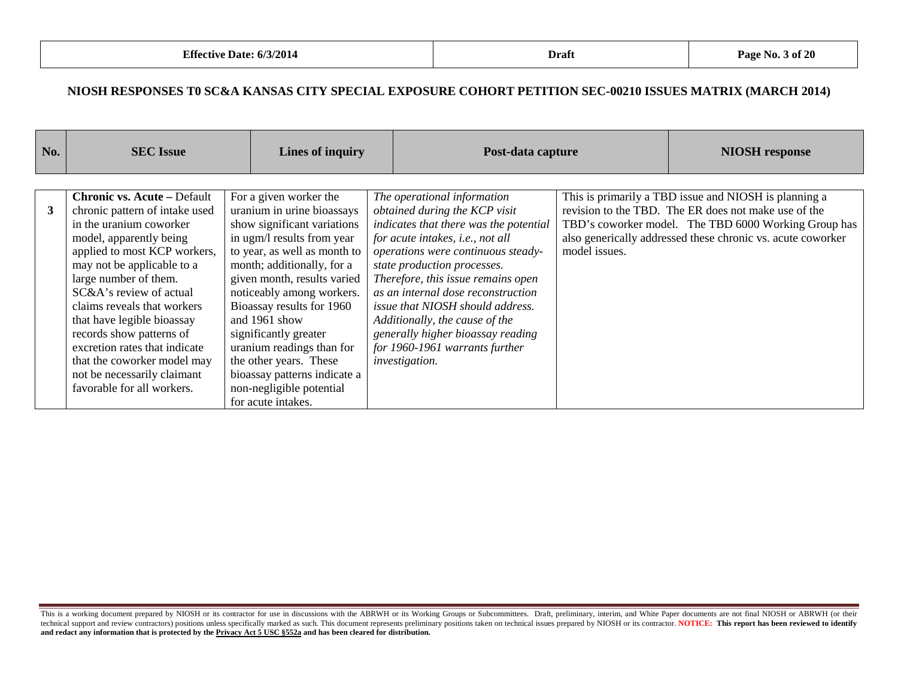| No. | <b>SEC</b> Issue                                                                                                                                                                                                                                                                                                                                                                                                                                                   |  | Lines of inquiry                                                                                                                                                                                                                                                                                                                                                                                                                                            |  | Post-data capture                                                                                                                                                                                                                                                                                                                                                                                                                                                        |               | <b>NIOSH</b> response                                                                                                                                                                                                                |
|-----|--------------------------------------------------------------------------------------------------------------------------------------------------------------------------------------------------------------------------------------------------------------------------------------------------------------------------------------------------------------------------------------------------------------------------------------------------------------------|--|-------------------------------------------------------------------------------------------------------------------------------------------------------------------------------------------------------------------------------------------------------------------------------------------------------------------------------------------------------------------------------------------------------------------------------------------------------------|--|--------------------------------------------------------------------------------------------------------------------------------------------------------------------------------------------------------------------------------------------------------------------------------------------------------------------------------------------------------------------------------------------------------------------------------------------------------------------------|---------------|--------------------------------------------------------------------------------------------------------------------------------------------------------------------------------------------------------------------------------------|
| 3   | <b>Chronic vs. Acute - Default</b><br>chronic pattern of intake used<br>in the uranium coworker<br>model, apparently being<br>applied to most KCP workers,<br>may not be applicable to a<br>large number of them.<br>SC&A's review of actual<br>claims reveals that workers<br>that have legible bioassay<br>records show patterns of<br>excretion rates that indicate<br>that the coworker model may<br>not be necessarily claimant<br>favorable for all workers. |  | For a given worker the<br>uranium in urine bioassays<br>show significant variations<br>in ugm/l results from year<br>to year, as well as month to<br>month; additionally, for a<br>given month, results varied<br>noticeably among workers.<br>Bioassay results for 1960<br>and 1961 show<br>significantly greater<br>uranium readings than for<br>the other years. These<br>bioassay patterns indicate a<br>non-negligible potential<br>for acute intakes. |  | The operational information<br>obtained during the KCP visit<br>indicates that there was the potential<br>for acute intakes, i.e., not all<br>operations were continuous steady-<br>state production processes.<br>Therefore, this issue remains open<br>as an internal dose reconstruction<br><i>issue that NIOSH should address.</i><br>Additionally, the cause of the<br>generally higher bioassay reading<br>for 1960-1961 warrants further<br><i>investigation.</i> | model issues. | This is primarily a TBD issue and NIOSH is planning a<br>revision to the TBD. The ER does not make use of the<br>TBD's coworker model. The TBD 6000 Working Group has<br>also generically addressed these chronic vs. acute coworker |

This is a working document prepared by NIOSH or its contractor for use in discussions with the ABRWH or its Working Groups or Subcommittees. Draft, preliminary, interim, and White Paper documents are not final NIOSH or ABR technical support and review contractors) positions unless specifically marked as such. This document represents preliminary positions taken on technical issues prepared by NIOSH or its contractor. NOTICE: This report has **and redact any information that is protected by the Privacy Act 5 USC §552a and has been cleared for distribution.**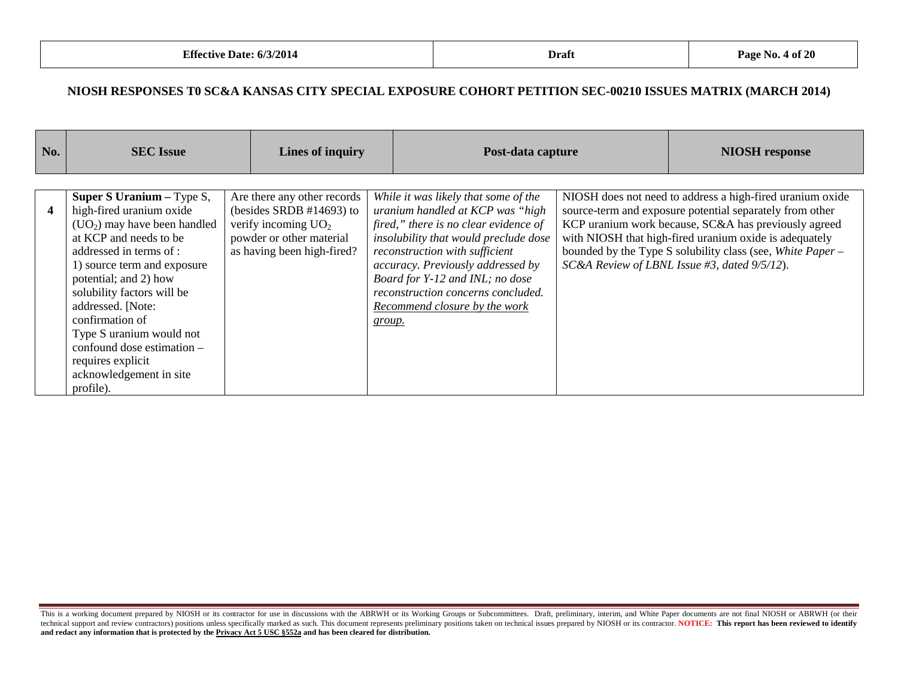| No. | <b>SEC</b> Issue                                                                                                                                                                                                                                                                                                                                                                                   | <b>Lines of inquiry</b>                                                                                                                       |        | Post-data capture                                                                                                                                                                                                                                                                                                                           | <b>NIOSH</b> response                                                                                                                                                                                                                                                                                                                                 |
|-----|----------------------------------------------------------------------------------------------------------------------------------------------------------------------------------------------------------------------------------------------------------------------------------------------------------------------------------------------------------------------------------------------------|-----------------------------------------------------------------------------------------------------------------------------------------------|--------|---------------------------------------------------------------------------------------------------------------------------------------------------------------------------------------------------------------------------------------------------------------------------------------------------------------------------------------------|-------------------------------------------------------------------------------------------------------------------------------------------------------------------------------------------------------------------------------------------------------------------------------------------------------------------------------------------------------|
| 4   | Super S Uranium - Type S,<br>high-fired uranium oxide<br>$(UO2)$ may have been handled<br>at KCP and needs to be<br>addressed in terms of :<br>1) source term and exposure<br>potential; and 2) how<br>solubility factors will be<br>addressed. [Note:<br>confirmation of<br>Type S uranium would not<br>confound dose estimation $-$<br>requires explicit<br>acknowledgement in site<br>profile). | Are there any other records<br>(besides SRDB $#14693$ ) to<br>verify incoming $UO2$<br>powder or other material<br>as having been high-fired? | group. | While it was likely that some of the<br>uranium handled at KCP was "high<br>fired," there is no clear evidence of<br>insolubility that would preclude dose<br>reconstruction with sufficient<br>accuracy. Previously addressed by<br>Board for Y-12 and INL; no dose<br>reconstruction concerns concluded.<br>Recommend closure by the work | NIOSH does not need to address a high-fired uranium oxide<br>source-term and exposure potential separately from other<br>KCP uranium work because, SC&A has previously agreed<br>with NIOSH that high-fired uranium oxide is adequately<br>bounded by the Type S solubility class (see, White Paper -<br>SC&A Review of LBNL Issue #3, dated 9/5/12). |

This is a working document prepared by NIOSH or its contractor for use in discussions with the ABRWH or its Working Groups or Subcommittees. Draft, preliminary, interim, and White Paper documents are not final NIOSH or ABR technical support and review contractors) positions unless specifically marked as such. This document represents preliminary positions taken on technical issues prepared by NIOSH or its contractor. NOTICE: This report has **and redact any information that is protected by the Privacy Act 5 USC §552a and has been cleared for distribution.**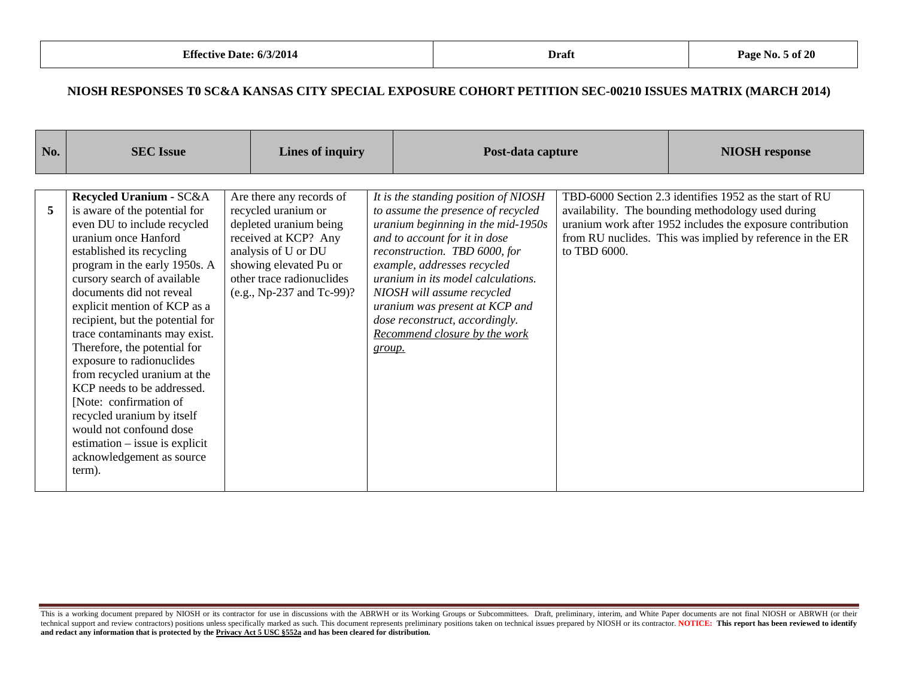| No. | <b>SEC Issue</b>                                                                                                                                                                                                                                                                                                                                                                                                                                                                                                                                                                                                                       |  | Lines of inquiry                                                                                                                                                                                             |        | Post-data capture                                                                                                                                                                                                                                                                                                                                                                          |              | <b>NIOSH</b> response                                                                                                                                                                                                                    |
|-----|----------------------------------------------------------------------------------------------------------------------------------------------------------------------------------------------------------------------------------------------------------------------------------------------------------------------------------------------------------------------------------------------------------------------------------------------------------------------------------------------------------------------------------------------------------------------------------------------------------------------------------------|--|--------------------------------------------------------------------------------------------------------------------------------------------------------------------------------------------------------------|--------|--------------------------------------------------------------------------------------------------------------------------------------------------------------------------------------------------------------------------------------------------------------------------------------------------------------------------------------------------------------------------------------------|--------------|------------------------------------------------------------------------------------------------------------------------------------------------------------------------------------------------------------------------------------------|
| 5   | Recycled Uranium - SC&A<br>is aware of the potential for<br>even DU to include recycled<br>uranium once Hanford<br>established its recycling<br>program in the early 1950s. A<br>cursory search of available<br>documents did not reveal<br>explicit mention of KCP as a<br>recipient, but the potential for<br>trace contaminants may exist.<br>Therefore, the potential for<br>exposure to radionuclides<br>from recycled uranium at the<br>KCP needs to be addressed.<br>[Note: confirmation of<br>recycled uranium by itself<br>would not confound dose<br>$estimation - issue is explicit$<br>acknowledgement as source<br>term). |  | Are there any records of<br>recycled uranium or<br>depleted uranium being<br>received at KCP? Any<br>analysis of U or DU<br>showing elevated Pu or<br>other trace radionuclides<br>(e.g., Np-237 and Tc-99)? | group. | It is the standing position of NIOSH<br>to assume the presence of recycled<br>uranium beginning in the mid-1950s<br>and to account for it in dose<br>reconstruction. TBD 6000, for<br>example, addresses recycled<br>uranium in its model calculations.<br>NIOSH will assume recycled<br>uranium was present at KCP and<br>dose reconstruct, accordingly.<br>Recommend closure by the work | to TBD 6000. | TBD-6000 Section 2.3 identifies 1952 as the start of RU<br>availability. The bounding methodology used during<br>uranium work after 1952 includes the exposure contribution<br>from RU nuclides. This was implied by reference in the ER |

This is a working document prepared by NIOSH or its contractor for use in discussions with the ABRWH or its Working Groups or Subcommittees. Draft, preliminary, interim, and White Paper documents are not final NIOSH or ABR technical support and review contractors) positions unless specifically marked as such. This document represents preliminary positions taken on technical issues prepared by NIOSH or its contractor. NOTICE: This report has **and redact any information that is protected by the Privacy Act 5 USC §552a and has been cleared for distribution.**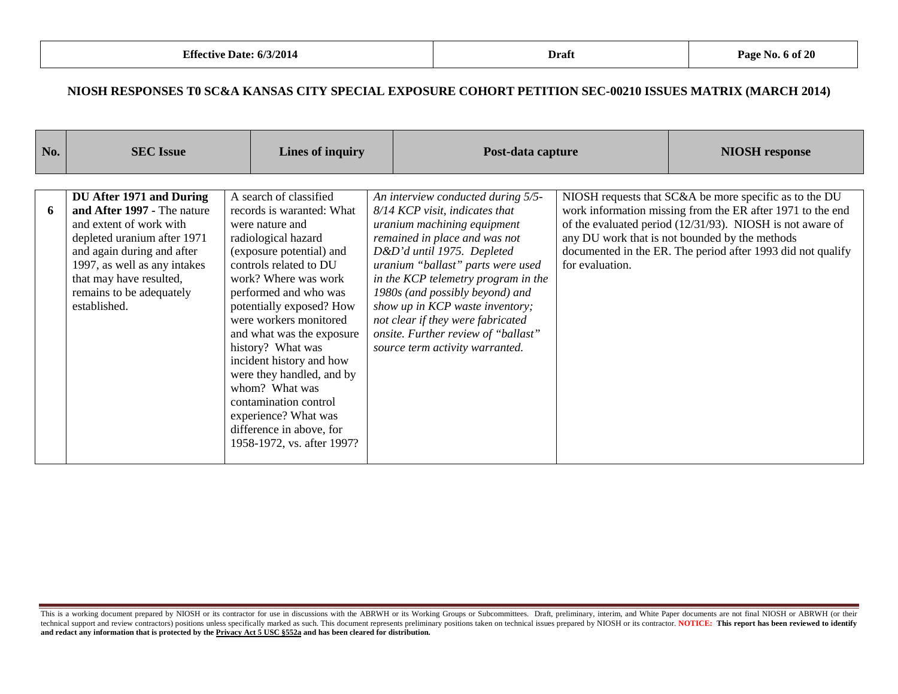| <b>No.</b> | <b>SEC</b> Issue                                                                                                                                                                                                                                       |  | Lines of inquiry                                                                                                                                                                                                                                                                                                                                                                                                                                                                                   |  | Post-data capture                                                                                                                                                                                                                                                                                                                                                                                                                   |                 | <b>NIOSH</b> response                                                                                                                                                                                                                                                                              |
|------------|--------------------------------------------------------------------------------------------------------------------------------------------------------------------------------------------------------------------------------------------------------|--|----------------------------------------------------------------------------------------------------------------------------------------------------------------------------------------------------------------------------------------------------------------------------------------------------------------------------------------------------------------------------------------------------------------------------------------------------------------------------------------------------|--|-------------------------------------------------------------------------------------------------------------------------------------------------------------------------------------------------------------------------------------------------------------------------------------------------------------------------------------------------------------------------------------------------------------------------------------|-----------------|----------------------------------------------------------------------------------------------------------------------------------------------------------------------------------------------------------------------------------------------------------------------------------------------------|
|            |                                                                                                                                                                                                                                                        |  |                                                                                                                                                                                                                                                                                                                                                                                                                                                                                                    |  |                                                                                                                                                                                                                                                                                                                                                                                                                                     |                 |                                                                                                                                                                                                                                                                                                    |
| 6          | DU After 1971 and During<br>and After 1997 - The nature<br>and extent of work with<br>depleted uranium after 1971<br>and again during and after<br>1997, as well as any intakes<br>that may have resulted,<br>remains to be adequately<br>established. |  | A search of classified<br>records is waranted: What<br>were nature and<br>radiological hazard<br>(exposure potential) and<br>controls related to DU<br>work? Where was work<br>performed and who was<br>potentially exposed? How<br>were workers monitored<br>and what was the exposure<br>history? What was<br>incident history and how<br>were they handled, and by<br>whom? What was<br>contamination control<br>experience? What was<br>difference in above, for<br>1958-1972, vs. after 1997? |  | An interview conducted during 5/5-<br>8/14 KCP visit, indicates that<br>uranium machining equipment<br>remained in place and was not<br>D&D'd until 1975. Depleted<br>uranium "ballast" parts were used<br>in the KCP telemetry program in the<br>1980s (and possibly beyond) and<br>show up in KCP waste inventory;<br>not clear if they were fabricated<br>onsite. Further review of "ballast"<br>source term activity warranted. | for evaluation. | NIOSH requests that SC&A be more specific as to the DU<br>work information missing from the ER after 1971 to the end<br>of the evaluated period (12/31/93). NIOSH is not aware of<br>any DU work that is not bounded by the methods<br>documented in the ER. The period after 1993 did not qualify |

This is a working document prepared by NIOSH or its contractor for use in discussions with the ABRWH or its Working Groups or Subcommittees. Draft, preliminary, interim, and White Paper documents are not final NIOSH or ABR technical support and review contractors) positions unless specifically marked as such. This document represents preliminary positions taken on technical issues prepared by NIOSH or its contractor. NOTICE: This report has **and redact any information that is protected by the Privacy Act 5 USC §552a and has been cleared for distribution.**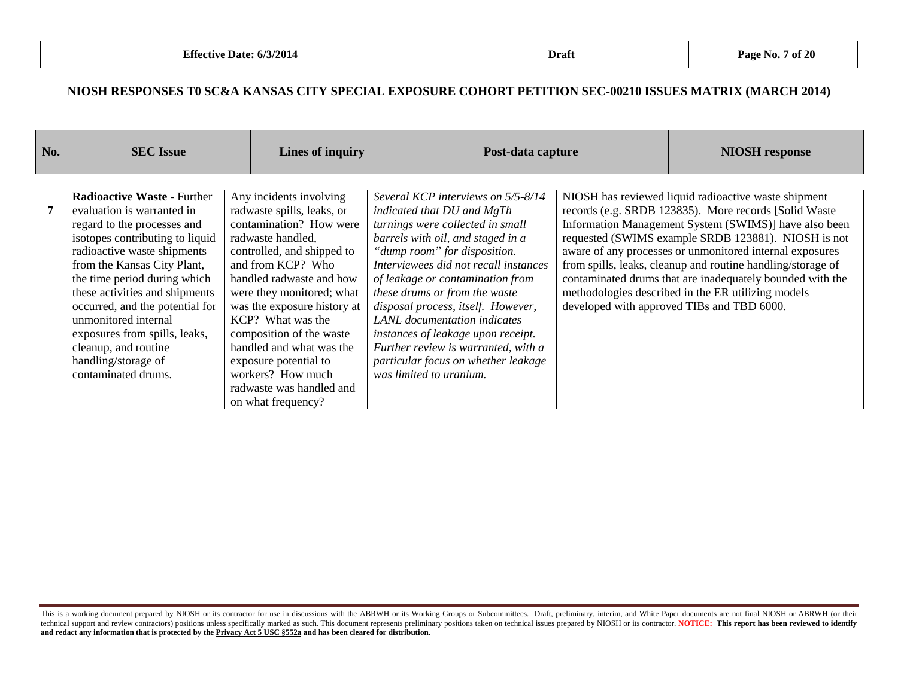| No. | <b>SEC</b> Issue                                                                                                                                                                                                                                                                                                                                                                                                                     | Lines of inquiry                                                                                                                                                                                                                                                                                                                                                                                                              | Post-data capture                                                                                                                                                                                                                                                                                                                                                                                                                                                                                            | <b>NIOSH</b> response                                                                                                                                                                                                                                                                                                                                                                                                                                                                                                     |
|-----|--------------------------------------------------------------------------------------------------------------------------------------------------------------------------------------------------------------------------------------------------------------------------------------------------------------------------------------------------------------------------------------------------------------------------------------|-------------------------------------------------------------------------------------------------------------------------------------------------------------------------------------------------------------------------------------------------------------------------------------------------------------------------------------------------------------------------------------------------------------------------------|--------------------------------------------------------------------------------------------------------------------------------------------------------------------------------------------------------------------------------------------------------------------------------------------------------------------------------------------------------------------------------------------------------------------------------------------------------------------------------------------------------------|---------------------------------------------------------------------------------------------------------------------------------------------------------------------------------------------------------------------------------------------------------------------------------------------------------------------------------------------------------------------------------------------------------------------------------------------------------------------------------------------------------------------------|
|     | <b>Radioactive Waste - Further</b><br>evaluation is warranted in<br>regard to the processes and<br>isotopes contributing to liquid<br>radioactive waste shipments<br>from the Kansas City Plant,<br>the time period during which<br>these activities and shipments<br>occurred, and the potential for<br>unmonitored internal<br>exposures from spills, leaks,<br>cleanup, and routine<br>handling/storage of<br>contaminated drums. | Any incidents involving<br>radwaste spills, leaks, or<br>contamination? How were<br>radwaste handled,<br>controlled, and shipped to<br>and from KCP? Who<br>handled radwaste and how<br>were they monitored; what<br>was the exposure history at<br>KCP? What was the<br>composition of the waste<br>handled and what was the<br>exposure potential to<br>workers? How much<br>radwaste was handled and<br>on what frequency? | Several KCP interviews on 5/5-8/14<br>indicated that DU and MgTh<br>turnings were collected in small<br>barrels with oil, and staged in a<br>"dump room" for disposition.<br>Interviewees did not recall instances<br>of leakage or contamination from<br>these drums or from the waste<br>disposal process, itself. However,<br>LANL documentation indicates<br>instances of leakage upon receipt.<br>Further review is warranted, with a<br>particular focus on whether leakage<br>was limited to uranium. | NIOSH has reviewed liquid radioactive waste shipment<br>records (e.g. SRDB 123835). More records [Solid Waste<br>Information Management System (SWIMS)] have also been<br>requested (SWIMS example SRDB 123881). NIOSH is not<br>aware of any processes or unmonitored internal exposures<br>from spills, leaks, cleanup and routine handling/storage of<br>contaminated drums that are inadequately bounded with the<br>methodologies described in the ER utilizing models<br>developed with approved TIBs and TBD 6000. |

This is a working document prepared by NIOSH or its contractor for use in discussions with the ABRWH or its Working Groups or Subcommittees. Draft, preliminary, interim, and White Paper documents are not final NIOSH or ABR technical support and review contractors) positions unless specifically marked as such. This document represents preliminary positions taken on technical issues prepared by NIOSH or its contractor. NOTICE: This report has **and redact any information that is protected by the Privacy Act 5 USC §552a and has been cleared for distribution.**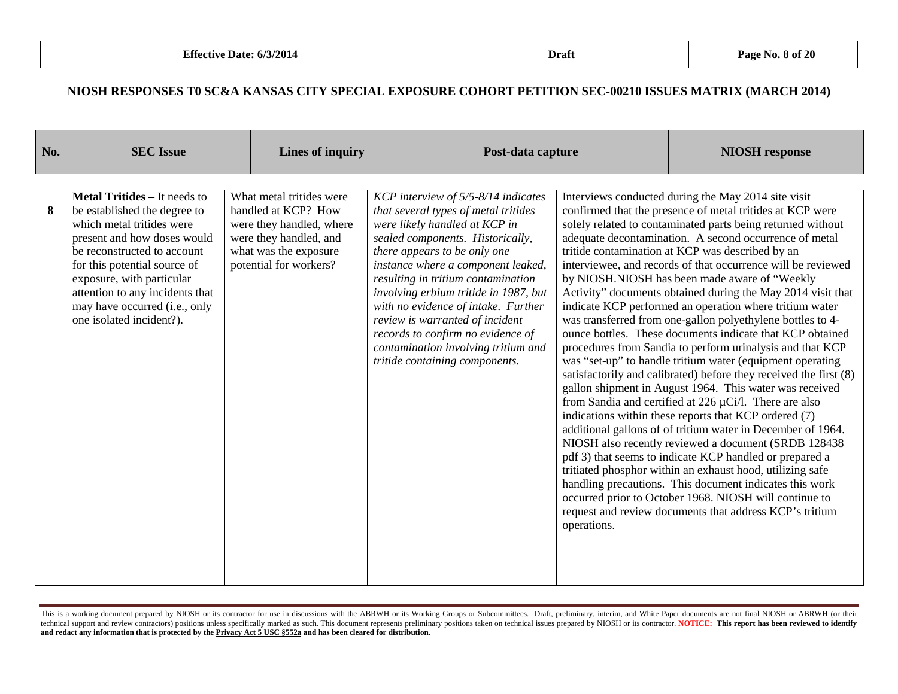| No. | <b>SEC Issue</b>                                                                                                                                                                                                                                                                                                            |  | <b>Lines of inquiry</b>                                                                                                                                  |  | Post-data capture                                                                                                                                                                                                                                                                                                                                                                                                                                                                             |             | <b>NIOSH</b> response                                                                                                                                                                                                                                                                                                                                                                                                                                                                                                                                                                                                                                                                                                                                                                                                                                                                                                                                                                                                                                                                                                                                                                                                                                                                                                                                                                                                                                                                |
|-----|-----------------------------------------------------------------------------------------------------------------------------------------------------------------------------------------------------------------------------------------------------------------------------------------------------------------------------|--|----------------------------------------------------------------------------------------------------------------------------------------------------------|--|-----------------------------------------------------------------------------------------------------------------------------------------------------------------------------------------------------------------------------------------------------------------------------------------------------------------------------------------------------------------------------------------------------------------------------------------------------------------------------------------------|-------------|--------------------------------------------------------------------------------------------------------------------------------------------------------------------------------------------------------------------------------------------------------------------------------------------------------------------------------------------------------------------------------------------------------------------------------------------------------------------------------------------------------------------------------------------------------------------------------------------------------------------------------------------------------------------------------------------------------------------------------------------------------------------------------------------------------------------------------------------------------------------------------------------------------------------------------------------------------------------------------------------------------------------------------------------------------------------------------------------------------------------------------------------------------------------------------------------------------------------------------------------------------------------------------------------------------------------------------------------------------------------------------------------------------------------------------------------------------------------------------------|
| 8   | <b>Metal Tritides - It needs to</b><br>be established the degree to<br>which metal tritides were<br>present and how doses would<br>be reconstructed to account<br>for this potential source of<br>exposure, with particular<br>attention to any incidents that<br>may have occurred (i.e., only<br>one isolated incident?). |  | What metal tritides were<br>handled at KCP? How<br>were they handled, where<br>were they handled, and<br>what was the exposure<br>potential for workers? |  | KCP interview of 5/5-8/14 indicates<br>that several types of metal tritides<br>were likely handled at KCP in<br>sealed components. Historically,<br>there appears to be only one<br>instance where a component leaked,<br>resulting in tritium contamination<br>involving erbium tritide in 1987, but<br>with no evidence of intake. Further<br>review is warranted of incident<br>records to confirm no evidence of<br>contamination involving tritium and<br>tritide containing components. | operations. | Interviews conducted during the May 2014 site visit<br>confirmed that the presence of metal tritides at KCP were<br>solely related to contaminated parts being returned without<br>adequate decontamination. A second occurrence of metal<br>tritide contamination at KCP was described by an<br>interviewee, and records of that occurrence will be reviewed<br>by NIOSH.NIOSH has been made aware of "Weekly<br>Activity" documents obtained during the May 2014 visit that<br>indicate KCP performed an operation where tritium water<br>was transferred from one-gallon polyethylene bottles to 4-<br>ounce bottles. These documents indicate that KCP obtained<br>procedures from Sandia to perform urinalysis and that KCP<br>was "set-up" to handle tritium water (equipment operating<br>satisfactorily and calibrated) before they received the first (8)<br>gallon shipment in August 1964. This water was received<br>from Sandia and certified at 226 $\mu$ Ci/l. There are also<br>indications within these reports that KCP ordered (7)<br>additional gallons of of tritium water in December of 1964.<br>NIOSH also recently reviewed a document (SRDB 128438<br>pdf 3) that seems to indicate KCP handled or prepared a<br>tritiated phosphor within an exhaust hood, utilizing safe<br>handling precautions. This document indicates this work<br>occurred prior to October 1968. NIOSH will continue to<br>request and review documents that address KCP's tritium |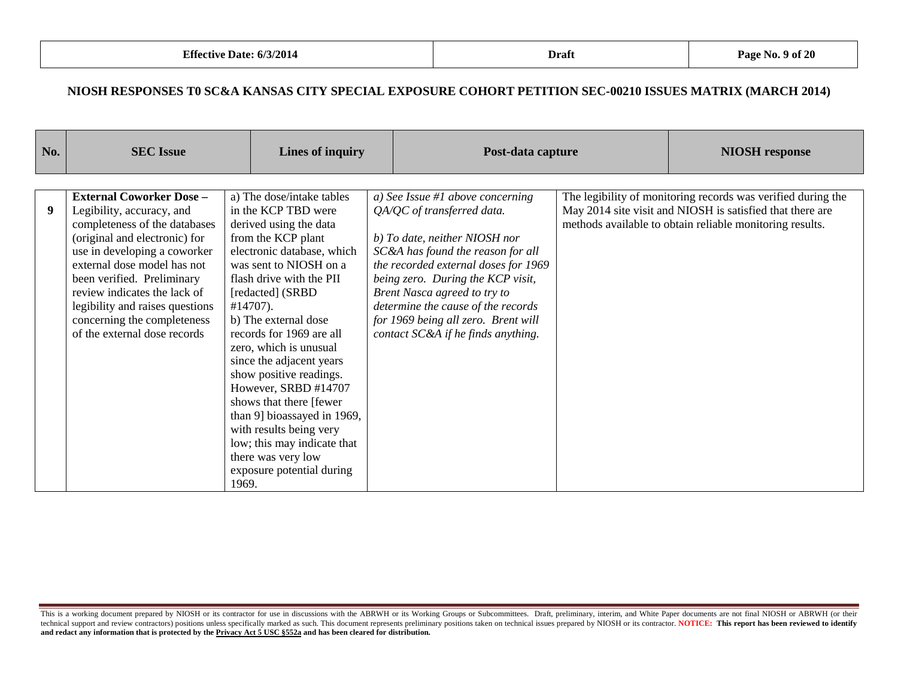| No. | <b>SEC Issue</b>                                                                                                                                                                              | Lines of inquiry                                                                                                                                                                                                                                    | Post-data capture                                                                                                                                                                                                            |  | <b>NIOSH</b> response                                                                                                                                                                 |
|-----|-----------------------------------------------------------------------------------------------------------------------------------------------------------------------------------------------|-----------------------------------------------------------------------------------------------------------------------------------------------------------------------------------------------------------------------------------------------------|------------------------------------------------------------------------------------------------------------------------------------------------------------------------------------------------------------------------------|--|---------------------------------------------------------------------------------------------------------------------------------------------------------------------------------------|
| 9   | <b>External Coworker Dose -</b><br>Legibility, accuracy, and<br>completeness of the databases<br>(original and electronic) for<br>use in developing a coworker<br>external dose model has not | a) The dose/intake tables<br>in the KCP TBD were<br>derived using the data<br>from the KCP plant<br>electronic database, which<br>was sent to NIOSH on a                                                                                            | a) See Issue #1 above concerning<br>QA/QC of transferred data.<br>b) To date, neither NIOSH nor<br>SC&A has found the reason for all                                                                                         |  | The legibility of monitoring records was verified during the<br>May 2014 site visit and NIOSH is satisfied that there are<br>methods available to obtain reliable monitoring results. |
|     | been verified. Preliminary<br>review indicates the lack of<br>legibility and raises questions<br>concerning the completeness<br>of the external dose records                                  | flash drive with the PII<br>[redacted] (SRBD<br>$#14707$ ).<br>b) The external dose<br>records for 1969 are all<br>zero, which is unusual<br>since the adjacent years<br>show positive readings.<br>However, SRBD #14707<br>shows that there [fewer | the recorded external doses for 1969<br>being zero. During the KCP visit,<br>Brent Nasca agreed to try to<br>determine the cause of the records<br>for 1969 being all zero. Brent will<br>contact SC&A if he finds anything. |  |                                                                                                                                                                                       |
|     |                                                                                                                                                                                               | than 9] bioassayed in 1969,<br>with results being very<br>low; this may indicate that<br>there was very low<br>exposure potential during<br>1969.                                                                                                   |                                                                                                                                                                                                                              |  |                                                                                                                                                                                       |

This is a working document prepared by NIOSH or its contractor for use in discussions with the ABRWH or its Working Groups or Subcommittees. Draft, preliminary, interim, and White Paper documents are not final NIOSH or ABR technical support and review contractors) positions unless specifically marked as such. This document represents preliminary positions taken on technical issues prepared by NIOSH or its contractor. NOTICE: This report has **and redact any information that is protected by the Privacy Act 5 USC §552a and has been cleared for distribution.**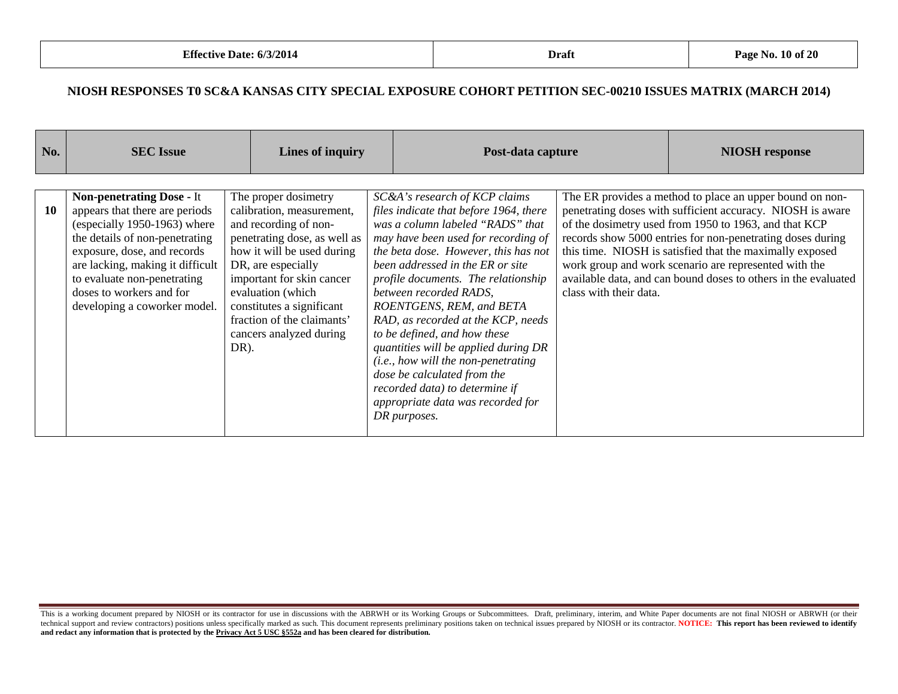| No. | <b>SEC Issue</b>                                                                                                                                                                                                                                                                                   |      | Lines of inquiry                                                                                                                                                                                                                                                                                       | Post-data capture                                                                                                                                                                                                                                                                                                                                                                                                                                                                                                                                                                                               |                        | <b>NIOSH</b> response                                                                                                                                                                                                                                                                                                                                                                                                                |
|-----|----------------------------------------------------------------------------------------------------------------------------------------------------------------------------------------------------------------------------------------------------------------------------------------------------|------|--------------------------------------------------------------------------------------------------------------------------------------------------------------------------------------------------------------------------------------------------------------------------------------------------------|-----------------------------------------------------------------------------------------------------------------------------------------------------------------------------------------------------------------------------------------------------------------------------------------------------------------------------------------------------------------------------------------------------------------------------------------------------------------------------------------------------------------------------------------------------------------------------------------------------------------|------------------------|--------------------------------------------------------------------------------------------------------------------------------------------------------------------------------------------------------------------------------------------------------------------------------------------------------------------------------------------------------------------------------------------------------------------------------------|
| 10  | <b>Non-penetrating Dose - It</b><br>appears that there are periods<br>(especially 1950-1963) where<br>the details of non-penetrating<br>exposure, dose, and records<br>are lacking, making it difficult<br>to evaluate non-penetrating<br>doses to workers and for<br>developing a coworker model. | DR). | The proper dosimetry<br>calibration, measurement,<br>and recording of non-<br>penetrating dose, as well as<br>how it will be used during<br>DR, are especially<br>important for skin cancer<br>evaluation (which<br>constitutes a significant<br>fraction of the claimants'<br>cancers analyzed during | SC&A's research of KCP claims<br>files indicate that before 1964, there<br>was a column labeled "RADS" that<br>may have been used for recording of<br>the beta dose. However, this has not<br>been addressed in the ER or site<br>profile documents. The relationship<br>between recorded RADS.<br>ROENTGENS, REM, and BETA<br>RAD, as recorded at the KCP, needs<br>to be defined, and how these<br>quantities will be applied during DR<br>( <i>i.e.</i> , how will the non-penetrating<br>dose be calculated from the<br>recorded data) to determine if<br>appropriate data was recorded for<br>DR purposes. | class with their data. | The ER provides a method to place an upper bound on non-<br>penetrating doses with sufficient accuracy. NIOSH is aware<br>of the dosimetry used from 1950 to 1963, and that KCP<br>records show 5000 entries for non-penetrating doses during<br>this time. NIOSH is satisfied that the maximally exposed<br>work group and work scenario are represented with the<br>available data, and can bound doses to others in the evaluated |

This is a working document prepared by NIOSH or its contractor for use in discussions with the ABRWH or its Working Groups or Subcommittees. Draft, preliminary, interim, and White Paper documents are not final NIOSH or ABR technical support and review contractors) positions unless specifically marked as such. This document represents preliminary positions taken on technical issues prepared by NIOSH or its contractor. NOTICE: This report has **and redact any information that is protected by the Privacy Act 5 USC §552a and has been cleared for distribution.**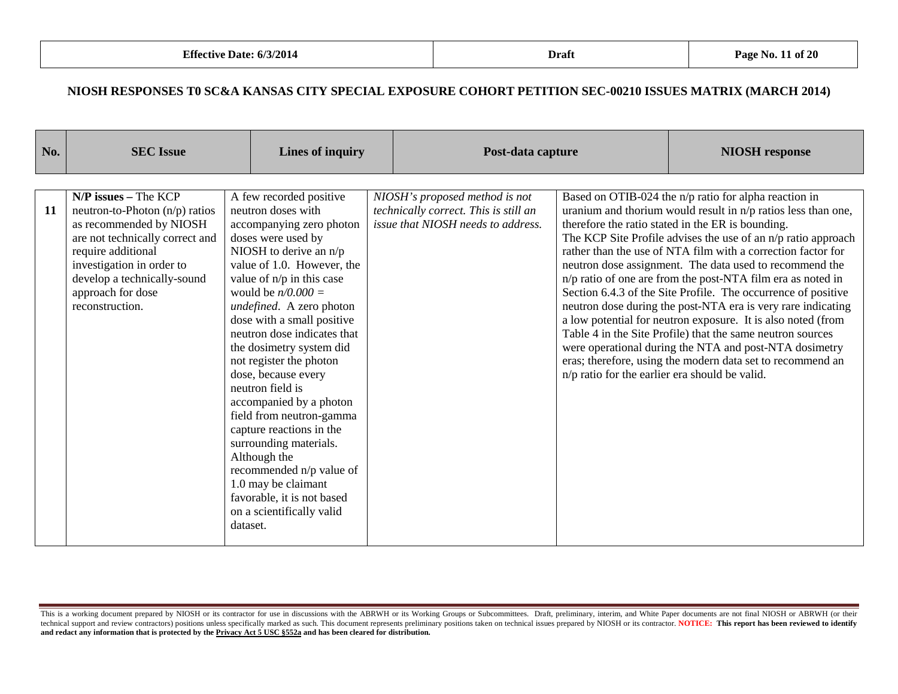| No. | <b>SEC</b> Issue                                                                                                                                                                                                                                 | Lines of inquiry                                                                                                                                                                                                                                                                                                                                                                                                                                                                                                                                                                                                                                                 |                                                                                                               | Post-data capture                              |                                                                                                                                                                                                                                                                                                                                                                                                                                                                                                                                                                                                                                                                                                                                                                                                                                 |  |
|-----|--------------------------------------------------------------------------------------------------------------------------------------------------------------------------------------------------------------------------------------------------|------------------------------------------------------------------------------------------------------------------------------------------------------------------------------------------------------------------------------------------------------------------------------------------------------------------------------------------------------------------------------------------------------------------------------------------------------------------------------------------------------------------------------------------------------------------------------------------------------------------------------------------------------------------|---------------------------------------------------------------------------------------------------------------|------------------------------------------------|---------------------------------------------------------------------------------------------------------------------------------------------------------------------------------------------------------------------------------------------------------------------------------------------------------------------------------------------------------------------------------------------------------------------------------------------------------------------------------------------------------------------------------------------------------------------------------------------------------------------------------------------------------------------------------------------------------------------------------------------------------------------------------------------------------------------------------|--|
|     |                                                                                                                                                                                                                                                  |                                                                                                                                                                                                                                                                                                                                                                                                                                                                                                                                                                                                                                                                  |                                                                                                               |                                                |                                                                                                                                                                                                                                                                                                                                                                                                                                                                                                                                                                                                                                                                                                                                                                                                                                 |  |
| 11  | $N/P$ issues – The KCP<br>neutron-to-Photon (n/p) ratios<br>as recommended by NIOSH<br>are not technically correct and<br>require additional<br>investigation in order to<br>develop a technically-sound<br>approach for dose<br>reconstruction. | A few recorded positive<br>neutron doses with<br>accompanying zero photon<br>doses were used by<br>NIOSH to derive an $n/p$<br>value of 1.0. However, the<br>value of n/p in this case<br>would be $n/0.000 =$<br>undefined. A zero photon<br>dose with a small positive<br>neutron dose indicates that<br>the dosimetry system did<br>not register the photon<br>dose, because every<br>neutron field is<br>accompanied by a photon<br>field from neutron-gamma<br>capture reactions in the<br>surrounding materials.<br>Although the<br>recommended n/p value of<br>1.0 may be claimant<br>favorable, it is not based<br>on a scientifically valid<br>dataset. | NIOSH's proposed method is not<br>technically correct. This is still an<br>issue that NIOSH needs to address. | n/p ratio for the earlier era should be valid. | Based on OTIB-024 the n/p ratio for alpha reaction in<br>uranium and thorium would result in $n/p$ ratios less than one,<br>therefore the ratio stated in the ER is bounding.<br>The KCP Site Profile advises the use of an n/p ratio approach<br>rather than the use of NTA film with a correction factor for<br>neutron dose assignment. The data used to recommend the<br>n/p ratio of one are from the post-NTA film era as noted in<br>Section 6.4.3 of the Site Profile. The occurrence of positive<br>neutron dose during the post-NTA era is very rare indicating<br>a low potential for neutron exposure. It is also noted (from<br>Table 4 in the Site Profile) that the same neutron sources<br>were operational during the NTA and post-NTA dosimetry<br>eras; therefore, using the modern data set to recommend an |  |

This is a working document prepared by NIOSH or its contractor for use in discussions with the ABRWH or its Working Groups or Subcommittees. Draft, preliminary, interim, and White Paper documents are not final NIOSH or ABR technical support and review contractors) positions unless specifically marked as such. This document represents preliminary positions taken on technical issues prepared by NIOSH or its contractor. NOTICE: This report has **and redact any information that is protected by the Privacy Act 5 USC §552a and has been cleared for distribution.**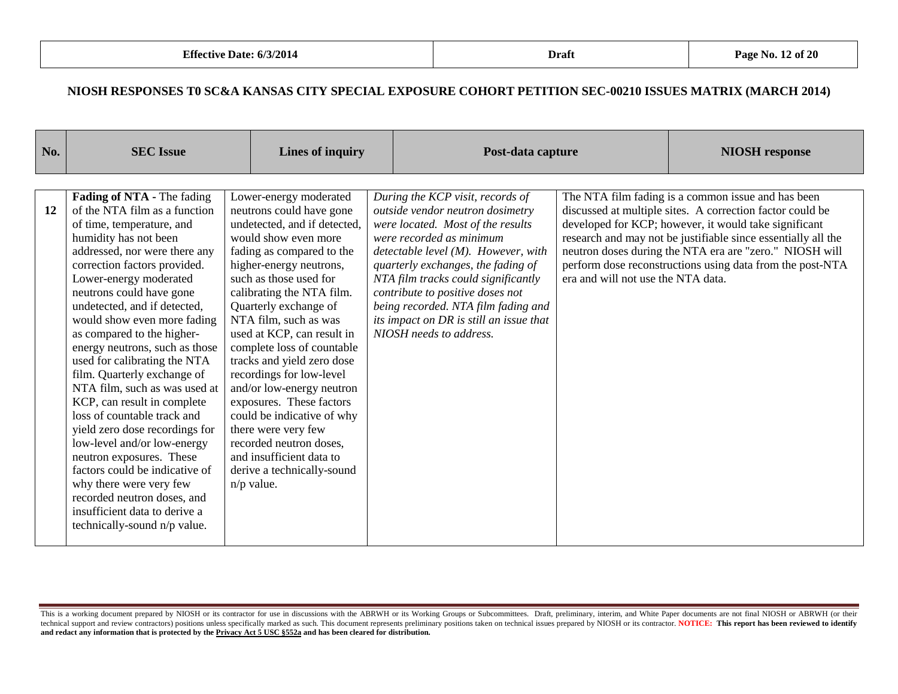| No.       | <b>SEC</b> Issue                                                                                                                                                                                                                                                                                                                                                                                                                                                                                                                                                                                                                                                                                                                                                                                |              | Lines of inquiry                                                                                                                                                                                                                                                                                                                                                                                                                                                                                                                                                                                     |  | Post-data capture                                                                                                                                                                                                                                                                                                                                                                                             |                                    | <b>NIOSH</b> response                                                                                                                                                                                                                                                                                                                                             |
|-----------|-------------------------------------------------------------------------------------------------------------------------------------------------------------------------------------------------------------------------------------------------------------------------------------------------------------------------------------------------------------------------------------------------------------------------------------------------------------------------------------------------------------------------------------------------------------------------------------------------------------------------------------------------------------------------------------------------------------------------------------------------------------------------------------------------|--------------|------------------------------------------------------------------------------------------------------------------------------------------------------------------------------------------------------------------------------------------------------------------------------------------------------------------------------------------------------------------------------------------------------------------------------------------------------------------------------------------------------------------------------------------------------------------------------------------------------|--|---------------------------------------------------------------------------------------------------------------------------------------------------------------------------------------------------------------------------------------------------------------------------------------------------------------------------------------------------------------------------------------------------------------|------------------------------------|-------------------------------------------------------------------------------------------------------------------------------------------------------------------------------------------------------------------------------------------------------------------------------------------------------------------------------------------------------------------|
|           |                                                                                                                                                                                                                                                                                                                                                                                                                                                                                                                                                                                                                                                                                                                                                                                                 |              |                                                                                                                                                                                                                                                                                                                                                                                                                                                                                                                                                                                                      |  |                                                                                                                                                                                                                                                                                                                                                                                                               |                                    |                                                                                                                                                                                                                                                                                                                                                                   |
| <b>12</b> | Fading of NTA - The fading<br>of the NTA film as a function<br>of time, temperature, and<br>humidity has not been<br>addressed, nor were there any<br>correction factors provided.<br>Lower-energy moderated<br>neutrons could have gone<br>undetected, and if detected,<br>would show even more fading<br>as compared to the higher-<br>energy neutrons, such as those<br>used for calibrating the NTA<br>film. Quarterly exchange of<br>NTA film, such as was used at<br>KCP, can result in complete<br>loss of countable track and<br>yield zero dose recordings for<br>low-level and/or low-energy<br>neutron exposures. These<br>factors could be indicative of<br>why there were very few<br>recorded neutron doses, and<br>insufficient data to derive a<br>technically-sound n/p value. | $n/p$ value. | Lower-energy moderated<br>neutrons could have gone<br>undetected, and if detected,<br>would show even more<br>fading as compared to the<br>higher-energy neutrons,<br>such as those used for<br>calibrating the NTA film.<br>Quarterly exchange of<br>NTA film, such as was<br>used at KCP, can result in<br>complete loss of countable<br>tracks and yield zero dose<br>recordings for low-level<br>and/or low-energy neutron<br>exposures. These factors<br>could be indicative of why<br>there were very few<br>recorded neutron doses.<br>and insufficient data to<br>derive a technically-sound |  | During the KCP visit, records of<br>outside vendor neutron dosimetry<br>were located. Most of the results<br>were recorded as minimum<br>detectable level $(M)$ . However, with<br>quarterly exchanges, the fading of<br>NTA film tracks could significantly<br>contribute to positive doses not<br>being recorded. NTA film fading and<br>its impact on DR is still an issue that<br>NIOSH needs to address. | era and will not use the NTA data. | The NTA film fading is a common issue and has been<br>discussed at multiple sites. A correction factor could be<br>developed for KCP; however, it would take significant<br>research and may not be justifiable since essentially all the<br>neutron doses during the NTA era are "zero." NIOSH will<br>perform dose reconstructions using data from the post-NTA |

This is a working document prepared by NIOSH or its contractor for use in discussions with the ABRWH or its Working Groups or Subcommittees. Draft, preliminary, interim, and White Paper documents are not final NIOSH or ABR technical support and review contractors) positions unless specifically marked as such. This document represents preliminary positions taken on technical issues prepared by NIOSH or its contractor. NOTICE: This report has **and redact any information that is protected by the Privacy Act 5 USC §552a and has been cleared for distribution.**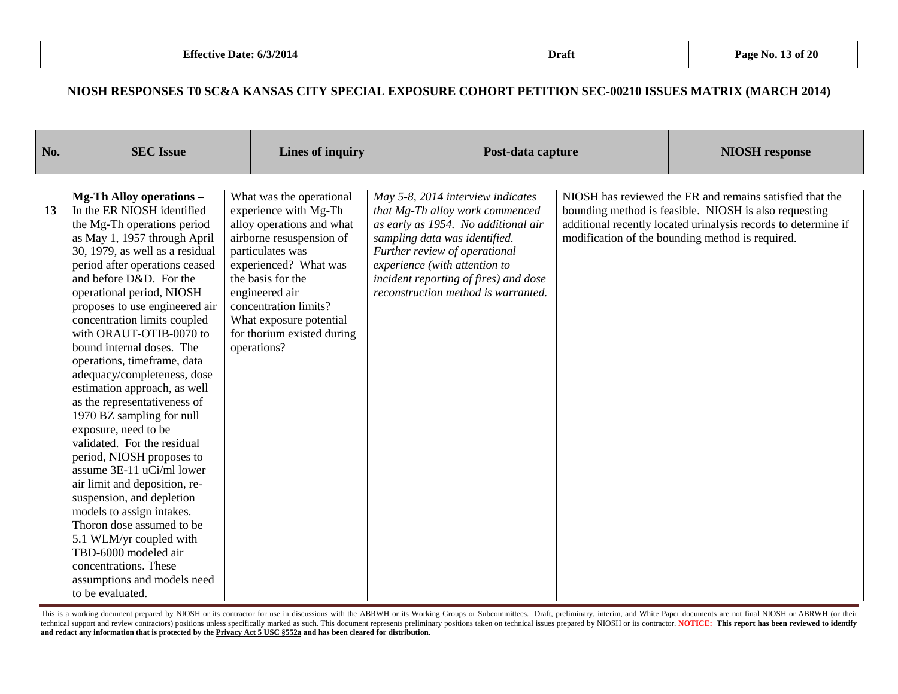| No. | <b>SEC Issue</b>                                          |  | <b>Lines of inquiry</b>                               |  | Post-data capture                                                      |  | <b>NIOSH</b> response                                                                                                   |
|-----|-----------------------------------------------------------|--|-------------------------------------------------------|--|------------------------------------------------------------------------|--|-------------------------------------------------------------------------------------------------------------------------|
|     |                                                           |  |                                                       |  |                                                                        |  |                                                                                                                         |
|     | <b>Mg-Th Alloy operations -</b>                           |  | What was the operational                              |  | May 5-8, 2014 interview indicates                                      |  | NIOSH has reviewed the ER and remains satisfied that the                                                                |
| 13  | In the ER NIOSH identified<br>the Mg-Th operations period |  | experience with Mg-Th<br>alloy operations and what    |  | that Mg-Th alloy work commenced<br>as early as 1954. No additional air |  | bounding method is feasible. NIOSH is also requesting<br>additional recently located urinalysis records to determine if |
|     | as May 1, 1957 through April                              |  | airborne resuspension of                              |  | sampling data was identified.                                          |  | modification of the bounding method is required.                                                                        |
|     | 30, 1979, as well as a residual                           |  | particulates was                                      |  | Further review of operational                                          |  |                                                                                                                         |
|     | period after operations ceased                            |  | experienced? What was                                 |  | experience (with attention to                                          |  |                                                                                                                         |
|     | and before D&D. For the                                   |  | the basis for the                                     |  | incident reporting of fires) and dose                                  |  |                                                                                                                         |
|     | operational period, NIOSH                                 |  | engineered air                                        |  | reconstruction method is warranted.                                    |  |                                                                                                                         |
|     | proposes to use engineered air                            |  | concentration limits?                                 |  |                                                                        |  |                                                                                                                         |
|     | concentration limits coupled<br>with ORAUT-OTIB-0070 to   |  | What exposure potential<br>for thorium existed during |  |                                                                        |  |                                                                                                                         |
|     | bound internal doses. The                                 |  | operations?                                           |  |                                                                        |  |                                                                                                                         |
|     | operations, timeframe, data                               |  |                                                       |  |                                                                        |  |                                                                                                                         |
|     | adequacy/completeness, dose                               |  |                                                       |  |                                                                        |  |                                                                                                                         |
|     | estimation approach, as well                              |  |                                                       |  |                                                                        |  |                                                                                                                         |
|     | as the representativeness of                              |  |                                                       |  |                                                                        |  |                                                                                                                         |
|     | 1970 BZ sampling for null                                 |  |                                                       |  |                                                                        |  |                                                                                                                         |
|     | exposure, need to be                                      |  |                                                       |  |                                                                        |  |                                                                                                                         |
|     | validated. For the residual                               |  |                                                       |  |                                                                        |  |                                                                                                                         |
|     | period, NIOSH proposes to<br>assume 3E-11 uCi/ml lower    |  |                                                       |  |                                                                        |  |                                                                                                                         |
|     | air limit and deposition, re-                             |  |                                                       |  |                                                                        |  |                                                                                                                         |
|     | suspension, and depletion                                 |  |                                                       |  |                                                                        |  |                                                                                                                         |
|     | models to assign intakes.                                 |  |                                                       |  |                                                                        |  |                                                                                                                         |
|     | Thoron dose assumed to be                                 |  |                                                       |  |                                                                        |  |                                                                                                                         |
|     | 5.1 WLM/yr coupled with                                   |  |                                                       |  |                                                                        |  |                                                                                                                         |
|     | TBD-6000 modeled air                                      |  |                                                       |  |                                                                        |  |                                                                                                                         |
|     | concentrations. These                                     |  |                                                       |  |                                                                        |  |                                                                                                                         |
|     | assumptions and models need                               |  |                                                       |  |                                                                        |  |                                                                                                                         |
|     | to be evaluated.                                          |  |                                                       |  |                                                                        |  |                                                                                                                         |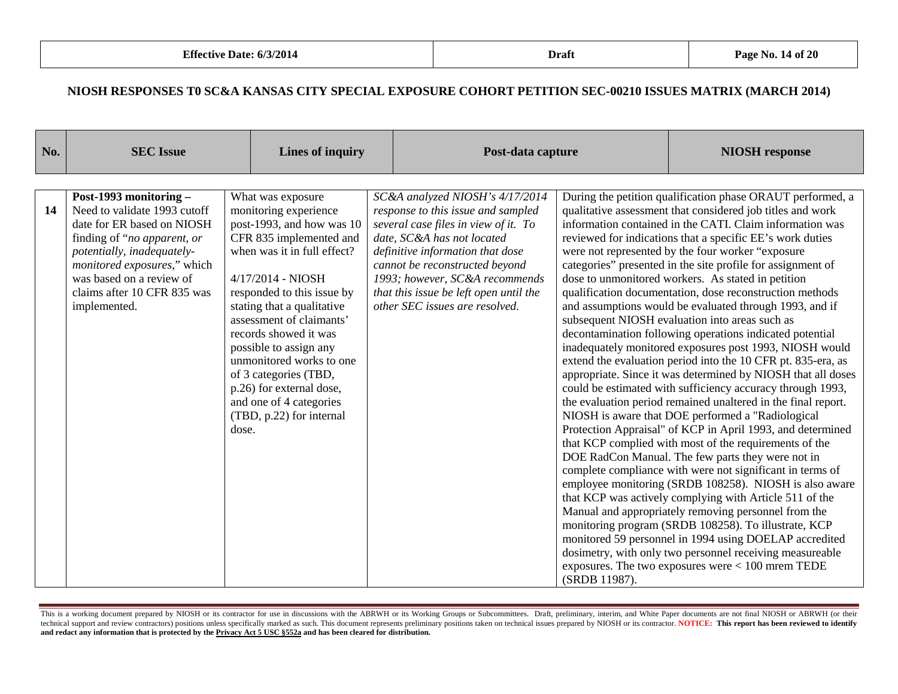| No. | <b>SEC Issue</b>                                                                                                                                                                                                                                            | <b>Lines of inquiry</b>                                                                                                                                                                                                                                                                                                                                                                                                                            | Post-data capture                                                                                                                                                                                                                                                                                                               |               | <b>NIOSH</b> response                                                                                                                                                                                                                                                                                                                                                                                                                                                                                                                                                                                                                                                                                                                                                                                                                                                                                                                                                                                                                                                                                                                                                                                                                                                                                                                                                                                                                                                                                                                                                                                                                                                                                        |
|-----|-------------------------------------------------------------------------------------------------------------------------------------------------------------------------------------------------------------------------------------------------------------|----------------------------------------------------------------------------------------------------------------------------------------------------------------------------------------------------------------------------------------------------------------------------------------------------------------------------------------------------------------------------------------------------------------------------------------------------|---------------------------------------------------------------------------------------------------------------------------------------------------------------------------------------------------------------------------------------------------------------------------------------------------------------------------------|---------------|--------------------------------------------------------------------------------------------------------------------------------------------------------------------------------------------------------------------------------------------------------------------------------------------------------------------------------------------------------------------------------------------------------------------------------------------------------------------------------------------------------------------------------------------------------------------------------------------------------------------------------------------------------------------------------------------------------------------------------------------------------------------------------------------------------------------------------------------------------------------------------------------------------------------------------------------------------------------------------------------------------------------------------------------------------------------------------------------------------------------------------------------------------------------------------------------------------------------------------------------------------------------------------------------------------------------------------------------------------------------------------------------------------------------------------------------------------------------------------------------------------------------------------------------------------------------------------------------------------------------------------------------------------------------------------------------------------------|
| 14  | Post-1993 monitoring -<br>Need to validate 1993 cutoff<br>date for ER based on NIOSH<br>finding of "no apparent, or<br>potentially, inadequately-<br>monitored exposures," which<br>was based on a review of<br>claims after 10 CFR 835 was<br>implemented. | What was exposure<br>monitoring experience<br>post-1993, and how was 10<br>CFR 835 implemented and<br>when was it in full effect?<br>4/17/2014 - NIOSH<br>responded to this issue by<br>stating that a qualitative<br>assessment of claimants'<br>records showed it was<br>possible to assign any<br>unmonitored works to one<br>of 3 categories (TBD,<br>p.26) for external dose,<br>and one of 4 categories<br>(TBD, p.22) for internal<br>dose. | SC&A analyzed NIOSH's 4/17/2014<br>response to this issue and sampled<br>several case files in view of it. To<br>date, SC&A has not located<br>definitive information that dose<br>cannot be reconstructed beyond<br>1993; however, SC&A recommends<br>that this issue be left open until the<br>other SEC issues are resolved. | (SRDB 11987). | During the petition qualification phase ORAUT performed, a<br>qualitative assessment that considered job titles and work<br>information contained in the CATI. Claim information was<br>reviewed for indications that a specific EE's work duties<br>were not represented by the four worker "exposure"<br>categories" presented in the site profile for assignment of<br>dose to unmonitored workers. As stated in petition<br>qualification documentation, dose reconstruction methods<br>and assumptions would be evaluated through 1993, and if<br>subsequent NIOSH evaluation into areas such as<br>decontamination following operations indicated potential<br>inadequately monitored exposures post 1993, NIOSH would<br>extend the evaluation period into the 10 CFR pt. 835-era, as<br>appropriate. Since it was determined by NIOSH that all doses<br>could be estimated with sufficiency accuracy through 1993,<br>the evaluation period remained unaltered in the final report.<br>NIOSH is aware that DOE performed a "Radiological<br>Protection Appraisal" of KCP in April 1993, and determined<br>that KCP complied with most of the requirements of the<br>DOE RadCon Manual. The few parts they were not in<br>complete compliance with were not significant in terms of<br>employee monitoring (SRDB 108258). NIOSH is also aware<br>that KCP was actively complying with Article 511 of the<br>Manual and appropriately removing personnel from the<br>monitoring program (SRDB 108258). To illustrate, KCP<br>monitored 59 personnel in 1994 using DOELAP accredited<br>dosimetry, with only two personnel receiving measureable<br>exposures. The two exposures were $< 100$ mrem TEDE |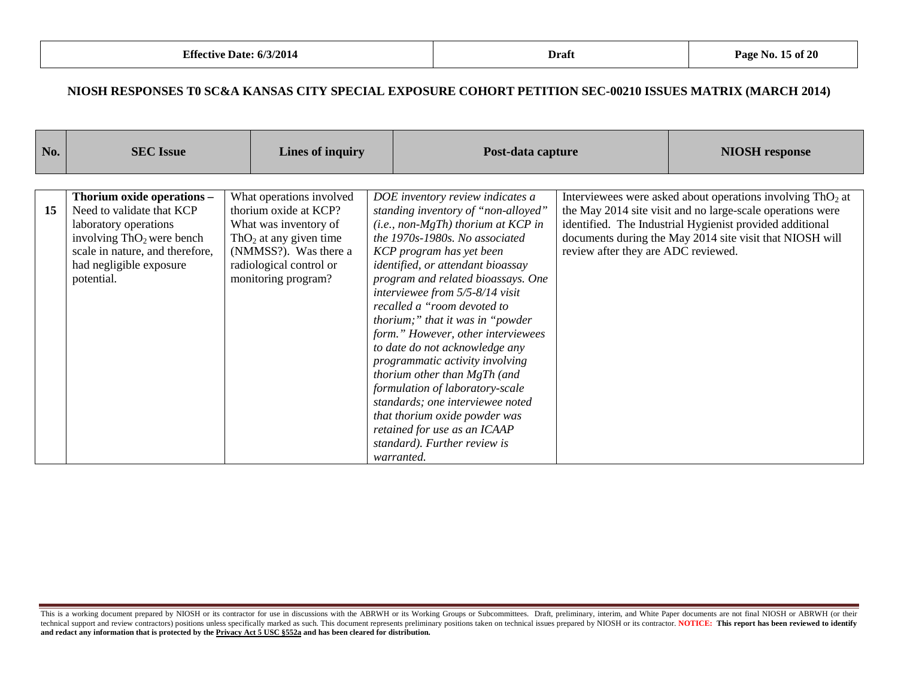| What operations involved<br>DOE inventory review indicates a<br>Interviewees were asked about operations involving $ThO2$ at<br>Thorium oxide operations -<br>Need to validate that KCP<br>thorium oxide at KCP?<br>the May 2014 site visit and no large-scale operations were<br>15<br>standing inventory of "non-alloyed"<br>$(i.e., non-MgTh)$ thorium at KCP in<br>identified. The Industrial Hygienist provided additional<br>laboratory operations<br>What was inventory of<br>documents during the May 2014 site visit that NIOSH will<br>the 1970s-1980s. No associated<br>involving $ThO2$ were bench<br>ThO <sub>2</sub> at any given time<br>scale in nature, and therefore,<br>review after they are ADC reviewed.<br>(NMMSS?). Was there a<br>KCP program has yet been<br>radiological control or<br>had negligible exposure<br>identified, or attendant bioassay<br>monitoring program?<br>program and related bioassays. One<br>potential.<br>interviewee from 5/5-8/14 visit<br>recalled a "room devoted to<br>thorium;" that it was in "powder"<br>form." However, other interviewees<br>to date do not acknowledge any<br>programmatic activity involving<br>thorium other than MgTh (and<br>formulation of laboratory-scale<br>standards; one interviewee noted | No. | <b>SEC Issue</b> | Lines of inquiry | Post-data capture             | <b>NIOSH</b> response |
|------------------------------------------------------------------------------------------------------------------------------------------------------------------------------------------------------------------------------------------------------------------------------------------------------------------------------------------------------------------------------------------------------------------------------------------------------------------------------------------------------------------------------------------------------------------------------------------------------------------------------------------------------------------------------------------------------------------------------------------------------------------------------------------------------------------------------------------------------------------------------------------------------------------------------------------------------------------------------------------------------------------------------------------------------------------------------------------------------------------------------------------------------------------------------------------------------------------------------------------------------------------------------------|-----|------------------|------------------|-------------------------------|-----------------------|
|                                                                                                                                                                                                                                                                                                                                                                                                                                                                                                                                                                                                                                                                                                                                                                                                                                                                                                                                                                                                                                                                                                                                                                                                                                                                                    |     |                  |                  |                               |                       |
| retained for use as an ICAAP<br>standard). Further review is                                                                                                                                                                                                                                                                                                                                                                                                                                                                                                                                                                                                                                                                                                                                                                                                                                                                                                                                                                                                                                                                                                                                                                                                                       |     |                  |                  | that thorium oxide powder was |                       |

This is a working document prepared by NIOSH or its contractor for use in discussions with the ABRWH or its Working Groups or Subcommittees. Draft, preliminary, interim, and White Paper documents are not final NIOSH or ABR technical support and review contractors) positions unless specifically marked as such. This document represents preliminary positions taken on technical issues prepared by NIOSH or its contractor. NOTICE: This report has **and redact any information that is protected by the Privacy Act 5 USC §552a and has been cleared for distribution.**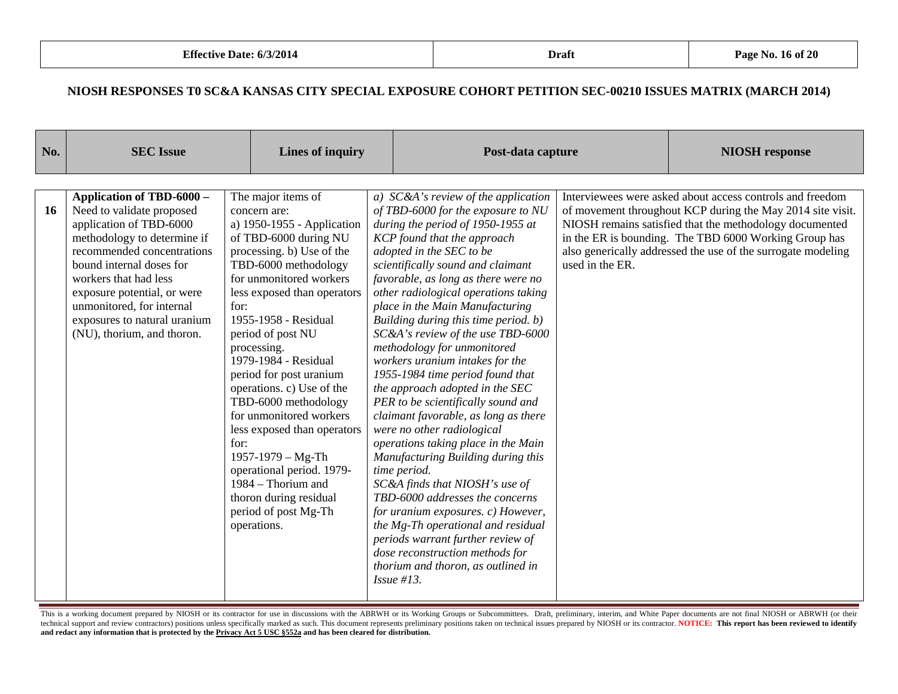| No.       | <b>SEC</b> Issue                                                                                                                                                                                                                                                                                                              | <b>Lines of inquiry</b>                                                                                                                                                                                                                                                                                                                                                                                                                                                                                                                                                                         |                                                                                                                                                                                                                                                                                                                                                                                                                                                                                                                                                                                                                                                                                                                                                                                                                                                                                                                                                                                                                                                    | Post-data capture |                                                                                                                                                                                                                                                                                                             |
|-----------|-------------------------------------------------------------------------------------------------------------------------------------------------------------------------------------------------------------------------------------------------------------------------------------------------------------------------------|-------------------------------------------------------------------------------------------------------------------------------------------------------------------------------------------------------------------------------------------------------------------------------------------------------------------------------------------------------------------------------------------------------------------------------------------------------------------------------------------------------------------------------------------------------------------------------------------------|----------------------------------------------------------------------------------------------------------------------------------------------------------------------------------------------------------------------------------------------------------------------------------------------------------------------------------------------------------------------------------------------------------------------------------------------------------------------------------------------------------------------------------------------------------------------------------------------------------------------------------------------------------------------------------------------------------------------------------------------------------------------------------------------------------------------------------------------------------------------------------------------------------------------------------------------------------------------------------------------------------------------------------------------------|-------------------|-------------------------------------------------------------------------------------------------------------------------------------------------------------------------------------------------------------------------------------------------------------------------------------------------------------|
| <b>16</b> | Application of TBD-6000 -<br>Need to validate proposed<br>application of TBD-6000<br>methodology to determine if<br>recommended concentrations<br>bound internal doses for<br>workers that had less<br>exposure potential, or were<br>unmonitored, for internal<br>exposures to natural uranium<br>(NU), thorium, and thoron. | The major items of<br>concern are:<br>a) 1950-1955 - Application<br>of TBD-6000 during NU<br>processing. b) Use of the<br>TBD-6000 methodology<br>for unmonitored workers<br>less exposed than operators<br>for:<br>1955-1958 - Residual<br>period of post NU<br>processing.<br>1979-1984 - Residual<br>period for post uranium<br>operations. c) Use of the<br>TBD-6000 methodology<br>for unmonitored workers<br>less exposed than operators<br>for:<br>1957-1979 - Mg-Th<br>operational period. 1979-<br>1984 – Thorium and<br>thoron during residual<br>period of post Mg-Th<br>operations. | a) $SC&A$ 's review of the application<br>of TBD-6000 for the exposure to NU<br>during the period of 1950-1955 at<br>KCP found that the approach<br>adopted in the SEC to be<br>scientifically sound and claimant<br>favorable, as long as there were no<br>other radiological operations taking<br>place in the Main Manufacturing<br>Building during this time period. b)<br>SC&A's review of the use TBD-6000<br>methodology for unmonitored<br>workers uranium intakes for the<br>1955-1984 time period found that<br>the approach adopted in the SEC<br>PER to be scientifically sound and<br>claimant favorable, as long as there<br>were no other radiological<br>operations taking place in the Main<br>Manufacturing Building during this<br>time period.<br>SC&A finds that NIOSH's use of<br>TBD-6000 addresses the concerns<br>for uranium exposures. c) However,<br>the Mg-Th operational and residual<br>periods warrant further review of<br>dose reconstruction methods for<br>thorium and thoron, as outlined in<br>Issue $#13$ . | used in the ER.   | Interviewees were asked about access controls and freedom<br>of movement throughout KCP during the May 2014 site visit.<br>NIOSH remains satisfied that the methodology documented<br>in the ER is bounding. The TBD 6000 Working Group has<br>also generically addressed the use of the surrogate modeling |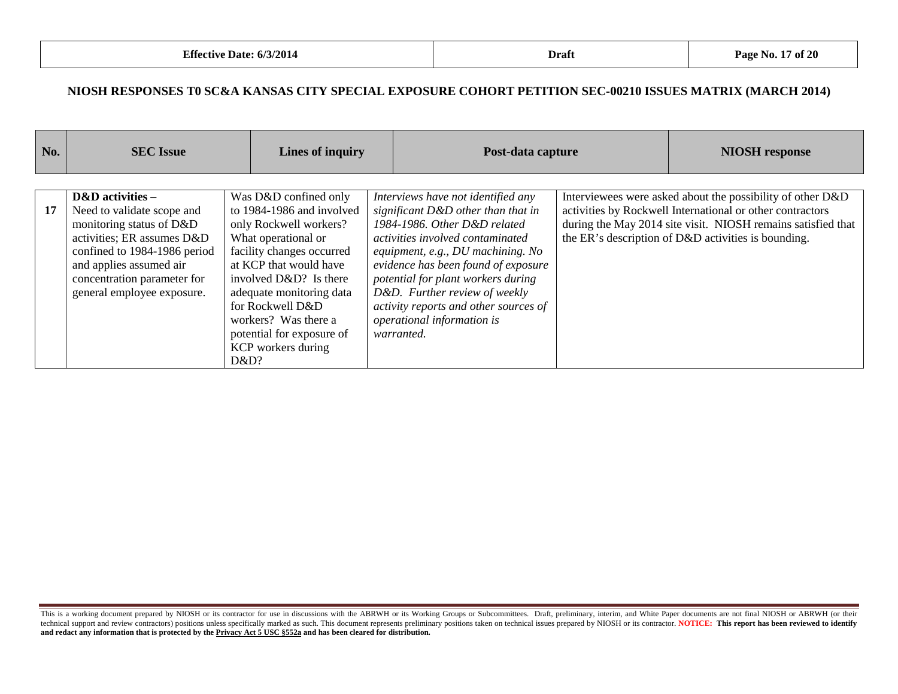| No. | <b>SEC</b> Issue                                                                                                                                                                                                                 | Lines of inquiry                                                                                                                                                                                                                                                                                                        | Post-data capture                                                                                                                                                                                                                                                                                                                                                                    | <b>NIOSH</b> response                                                                                                                                                                                                                          |
|-----|----------------------------------------------------------------------------------------------------------------------------------------------------------------------------------------------------------------------------------|-------------------------------------------------------------------------------------------------------------------------------------------------------------------------------------------------------------------------------------------------------------------------------------------------------------------------|--------------------------------------------------------------------------------------------------------------------------------------------------------------------------------------------------------------------------------------------------------------------------------------------------------------------------------------------------------------------------------------|------------------------------------------------------------------------------------------------------------------------------------------------------------------------------------------------------------------------------------------------|
| 17  | D&D activities -<br>Need to validate scope and<br>monitoring status of D&D<br>activities; ER assumes D&D<br>confined to 1984-1986 period<br>and applies assumed air<br>concentration parameter for<br>general employee exposure. | Was D&D confined only<br>to 1984-1986 and involved<br>only Rockwell workers?<br>What operational or<br>facility changes occurred<br>at KCP that would have<br>involved D&D? Is there<br>adequate monitoring data<br>for Rockwell D&D<br>workers? Was there a<br>potential for exposure of<br>KCP workers during<br>D&D? | Interviews have not identified any<br>significant D&D other than that in<br>1984-1986. Other D&D related<br>activities involved contaminated<br>equipment, e.g., DU machining. No<br>evidence has been found of exposure<br>potential for plant workers during<br>D&D. Further review of weekly<br>activity reports and other sources of<br>operational information is<br>warranted. | Interviewees were asked about the possibility of other D&D<br>activities by Rockwell International or other contractors<br>during the May 2014 site visit. NIOSH remains satisfied that<br>the ER's description of D&D activities is bounding. |

This is a working document prepared by NIOSH or its contractor for use in discussions with the ABRWH or its Working Groups or Subcommittees. Draft, preliminary, interim, and White Paper documents are not final NIOSH or ABR technical support and review contractors) positions unless specifically marked as such. This document represents preliminary positions taken on technical issues prepared by NIOSH or its contractor. NOTICE: This report has **and redact any information that is protected by the Privacy Act 5 USC §552a and has been cleared for distribution.**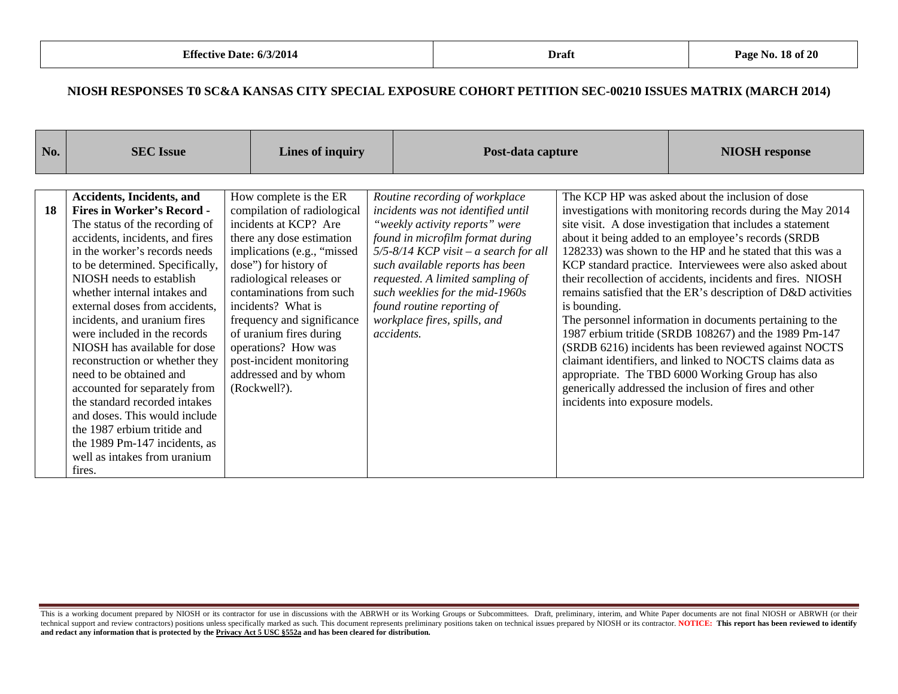| No. | <b>SEC</b> Issue                                                                                                                                                                                                                                                                                                                                                                                                                                                                                                                                                                                                                                                             | Lines of inquiry                                                                                                                                                                                                                                                                                                                                                                                       | Post-data capture                                                                                                                                                                                                                                                                                                                                                             |                                                 | <b>NIOSH</b> response                                                                                                                                                                                                                                                                                                                                                                                                                                                                                                                                                                                                                                                                                                                                                                                                                                 |
|-----|------------------------------------------------------------------------------------------------------------------------------------------------------------------------------------------------------------------------------------------------------------------------------------------------------------------------------------------------------------------------------------------------------------------------------------------------------------------------------------------------------------------------------------------------------------------------------------------------------------------------------------------------------------------------------|--------------------------------------------------------------------------------------------------------------------------------------------------------------------------------------------------------------------------------------------------------------------------------------------------------------------------------------------------------------------------------------------------------|-------------------------------------------------------------------------------------------------------------------------------------------------------------------------------------------------------------------------------------------------------------------------------------------------------------------------------------------------------------------------------|-------------------------------------------------|-------------------------------------------------------------------------------------------------------------------------------------------------------------------------------------------------------------------------------------------------------------------------------------------------------------------------------------------------------------------------------------------------------------------------------------------------------------------------------------------------------------------------------------------------------------------------------------------------------------------------------------------------------------------------------------------------------------------------------------------------------------------------------------------------------------------------------------------------------|
|     |                                                                                                                                                                                                                                                                                                                                                                                                                                                                                                                                                                                                                                                                              |                                                                                                                                                                                                                                                                                                                                                                                                        |                                                                                                                                                                                                                                                                                                                                                                               |                                                 |                                                                                                                                                                                                                                                                                                                                                                                                                                                                                                                                                                                                                                                                                                                                                                                                                                                       |
| 18  | <b>Accidents, Incidents, and</b><br><b>Fires in Worker's Record -</b><br>The status of the recording of<br>accidents, incidents, and fires<br>in the worker's records needs<br>to be determined. Specifically,<br>NIOSH needs to establish<br>whether internal intakes and<br>external doses from accidents,<br>incidents, and uranium fires<br>were included in the records<br>NIOSH has available for dose<br>reconstruction or whether they<br>need to be obtained and<br>accounted for separately from<br>the standard recorded intakes<br>and doses. This would include<br>the 1987 erbium tritide and<br>the 1989 Pm-147 incidents, as<br>well as intakes from uranium | How complete is the ER<br>compilation of radiological<br>incidents at KCP? Are<br>there any dose estimation<br>implications (e.g., "missed<br>dose") for history of<br>radiological releases or<br>contaminations from such<br>incidents? What is<br>frequency and significance<br>of uranium fires during<br>operations? How was<br>post-incident monitoring<br>addressed and by whom<br>(Rockwell?). | Routine recording of workplace<br>incidents was not identified until<br>"weekly activity reports" were<br>found in microfilm format during<br>$5/5 - 8/14$ KCP visit – a search for all<br>such available reports has been<br>requested. A limited sampling of<br>such weeklies for the mid-1960s<br>found routine reporting of<br>workplace fires, spills, and<br>accidents. | is bounding.<br>incidents into exposure models. | The KCP HP was asked about the inclusion of dose<br>investigations with monitoring records during the May 2014<br>site visit. A dose investigation that includes a statement<br>about it being added to an employee's records (SRDB<br>128233) was shown to the HP and he stated that this was a<br>KCP standard practice. Interviewees were also asked about<br>their recollection of accidents, incidents and fires. NIOSH<br>remains satisfied that the ER's description of D&D activities<br>The personnel information in documents pertaining to the<br>1987 erbium tritide (SRDB 108267) and the 1989 Pm-147<br>(SRDB 6216) incidents has been reviewed against NOCTS<br>claimant identifiers, and linked to NOCTS claims data as<br>appropriate. The TBD 6000 Working Group has also<br>generically addressed the inclusion of fires and other |
|     | fires.                                                                                                                                                                                                                                                                                                                                                                                                                                                                                                                                                                                                                                                                       |                                                                                                                                                                                                                                                                                                                                                                                                        |                                                                                                                                                                                                                                                                                                                                                                               |                                                 |                                                                                                                                                                                                                                                                                                                                                                                                                                                                                                                                                                                                                                                                                                                                                                                                                                                       |

This is a working document prepared by NIOSH or its contractor for use in discussions with the ABRWH or its Working Groups or Subcommittees. Draft, preliminary, interim, and White Paper documents are not final NIOSH or ABR technical support and review contractors) positions unless specifically marked as such. This document represents preliminary positions taken on technical issues prepared by NIOSH or its contractor. NOTICE: This report has **and redact any information that is protected by the Privacy Act 5 USC §552a and has been cleared for distribution.**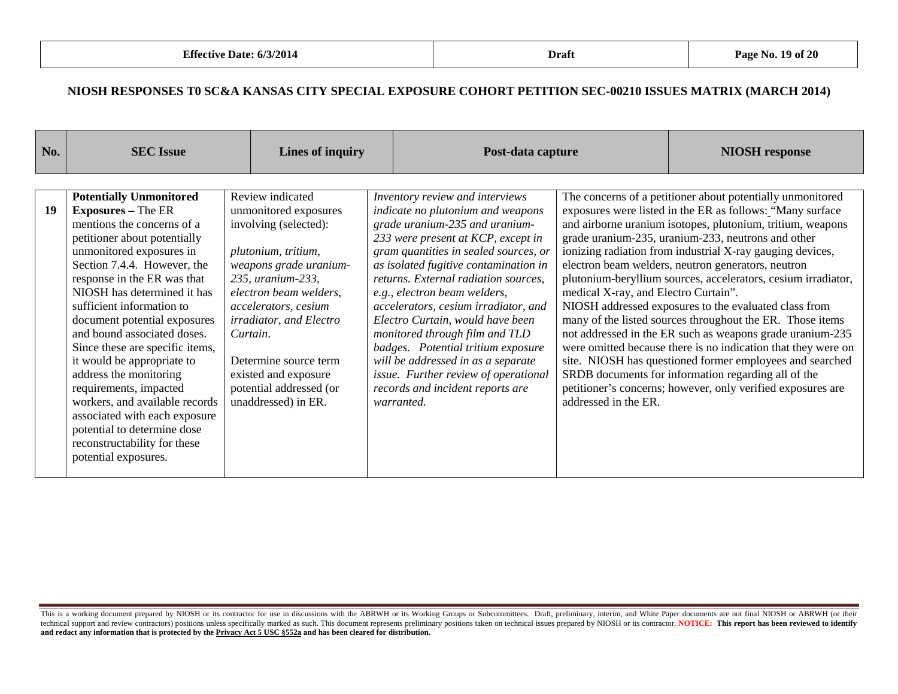| No. | <b>SEC</b> Issue                                                                                                                                                                                                                                                                                                                               |                                                                                                                                                                                                                                   | <b>Lines of inquiry</b>                                                                         | Post-data capture                                                                                                                                                                                                                                                                                                                                                                                                    |                                                                                                                                                                                                                                                                                                                                                                                                                                                                                                                                                                                                                                                            | <b>NIOSH</b> response                                                                                                                                                                                                                           |  |
|-----|------------------------------------------------------------------------------------------------------------------------------------------------------------------------------------------------------------------------------------------------------------------------------------------------------------------------------------------------|-----------------------------------------------------------------------------------------------------------------------------------------------------------------------------------------------------------------------------------|-------------------------------------------------------------------------------------------------|----------------------------------------------------------------------------------------------------------------------------------------------------------------------------------------------------------------------------------------------------------------------------------------------------------------------------------------------------------------------------------------------------------------------|------------------------------------------------------------------------------------------------------------------------------------------------------------------------------------------------------------------------------------------------------------------------------------------------------------------------------------------------------------------------------------------------------------------------------------------------------------------------------------------------------------------------------------------------------------------------------------------------------------------------------------------------------------|-------------------------------------------------------------------------------------------------------------------------------------------------------------------------------------------------------------------------------------------------|--|
| 19  | <b>Potentially Unmonitored</b><br><b>Exposures</b> – The ER<br>mentions the concerns of a<br>petitioner about potentially<br>unmonitored exposures in<br>Section 7.4.4. However, the<br>response in the ER was that<br>NIOSH has determined it has<br>sufficient information to<br>document potential exposures<br>and bound associated doses. | Review indicated<br>unmonitored exposures<br>involving (selected):<br>plutonium, tritium,<br>weapons grade uranium-<br>235, uranium-233,<br>electron beam welders,<br>accelerators, cesium<br>irradiator, and Electro<br>Curtain. |                                                                                                 | Inventory review and interviews<br>indicate no plutonium and weapons<br>grade uranium-235 and uranium-<br>233 were present at KCP, except in<br>gram quantities in sealed sources, or<br>as isolated fugitive contamination in<br>returns. External radiation sources,<br>e.g., electron beam welders,<br>accelerators, cesium irradiator, and<br>Electro Curtain, would have been<br>monitored through film and TLD | The concerns of a petitioner about potentially unmonitored<br>exposures were listed in the ER as follows: "Many surface<br>and airborne uranium isotopes, plutonium, tritium, weapons<br>grade uranium-235, uranium-233, neutrons and other<br>ionizing radiation from industrial X-ray gauging devices,<br>electron beam welders, neutron generators, neutron<br>plutonium-beryllium sources, accelerators, cesium irradiator,<br>medical X-ray, and Electro Curtain".<br>NIOSH addressed exposures to the evaluated class from<br>many of the listed sources throughout the ER. Those items<br>not addressed in the ER such as weapons grade uranium-235 |                                                                                                                                                                                                                                                 |  |
|     | Since these are specific items,<br>it would be appropriate to<br>address the monitoring<br>requirements, impacted<br>workers, and available records<br>associated with each exposure<br>potential to determine dose<br>reconstructability for these<br>potential exposures.                                                                    |                                                                                                                                                                                                                                   | Determine source term<br>existed and exposure<br>potential addressed (or<br>unaddressed) in ER. | badges. Potential tritium exposure<br>will be addressed in as a separate<br>issue. Further review of operational<br>records and incident reports are<br>warranted.                                                                                                                                                                                                                                                   | addressed in the ER.                                                                                                                                                                                                                                                                                                                                                                                                                                                                                                                                                                                                                                       | were omitted because there is no indication that they were on<br>site. NIOSH has questioned former employees and searched<br>SRDB documents for information regarding all of the<br>petitioner's concerns; however, only verified exposures are |  |

This is a working document prepared by NIOSH or its contractor for use in discussions with the ABRWH or its Working Groups or Subcommittees. Draft, preliminary, interim, and White Paper documents are not final NIOSH or ABR technical support and review contractors) positions unless specifically marked as such. This document represents preliminary positions taken on technical issues prepared by NIOSH or its contractor. NOTICE: This report has **and redact any information that is protected by the Privacy Act 5 USC §552a and has been cleared for distribution.**